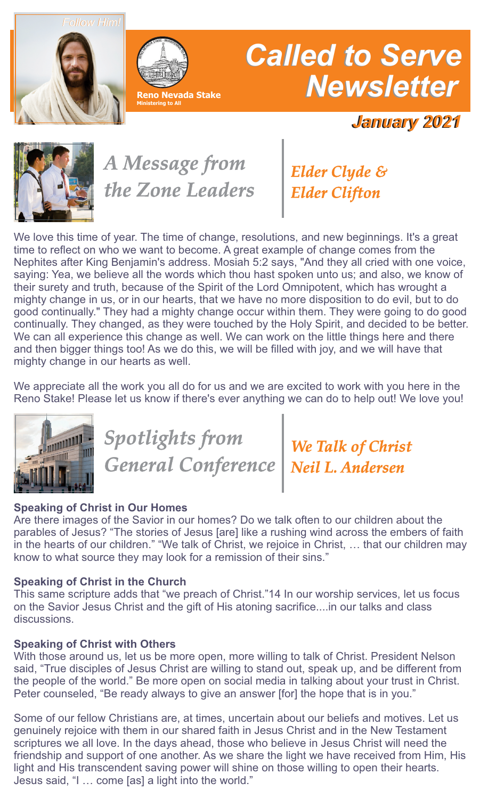*Follow Him!*





# *Called to Serve Newsletter*

*January 2021*



*A Message from the Zone Leaders*

*Elder Clyde & Elder Clifton*

We love this time of year. The time of change, resolutions, and new beginnings. It's a great time to reflect on who we want to become. A great example of change comes from the Nephites after King Benjamin's address. Mosiah 5:2 says, "And they all cried with one voice, saying: Yea, we believe all the words which thou hast spoken unto us; and also, we know of their surety and truth, because of the Spirit of the Lord Omnipotent, which has wrought a mighty change in us, or in our hearts, that we have no more disposition to do evil, but to do good continually." They had a mighty change occur within them. They were going to do good continually. They changed, as they were touched by the Holy Spirit, and decided to be better. We can all experience this change as well. We can work on the little things here and there and then bigger things too! As we do this, we will be filled with joy, and we will have that mighty change in our hearts as well.

We appreciate all the work you all do for us and we are excited to work with you here in the Reno Stake! Please let us know if there's ever anything we can do to help out! We love you!



# *Spotlights from General Conference*

*[We Talk of Christ](https://www.churchofjesuschrist.org/study/general-conference/2020/10/45andersen?lang=eng) Neil L. Andersen*

### **Speaking of Christ in Our Homes**

Are there images of the Savior in our homes? Do we talk often to our children about the parables of Jesus? "The stories of Jesus [are] like a rushing wind across the embers of faith in the hearts of our children." "We talk of Christ, we rejoice in Christ, … that our children may know to what source they may look for a remission of their sins."

### **Speaking of Christ in the Church**

This same scripture adds that "we preach of Christ."14 In our worship services, let us focus on the Savior Jesus Christ and the gift of His atoning sacrifice....in our talks and class discussions.

### **Speaking of Christ with Others**

With those around us, let us be more open, more willing to talk of Christ. President Nelson said, "True disciples of Jesus Christ are willing to stand out, speak up, and be different from the people of the world." Be more open on social media in talking about your trust in Christ. Peter counseled, "Be ready always to give an answer [for] the hope that is in you."

Some of our fellow Christians are, at times, uncertain about our beliefs and motives. Let us genuinely rejoice with them in our shared faith in Jesus Christ and in the New Testament scriptures we all love. In the days ahead, those who believe in Jesus Christ will need the friendship and support of one another. As we share the light we have received from Him, His light and His transcendent saving power will shine on those willing to open their hearts. Jesus said, "I … come [as] a light into the world."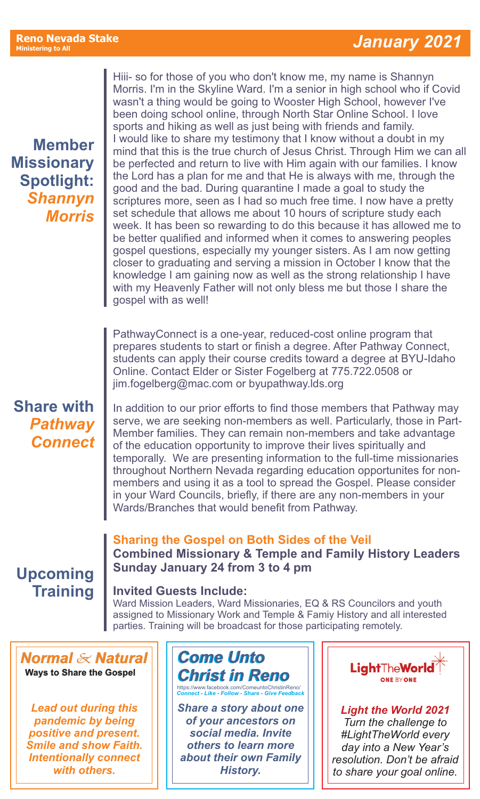**Member Missionary Spotlight:** *Shannyn Morris*

Hiii- so for those of you who don't know me, my name is Shannyn Morris. I'm in the Skyline Ward. I'm a senior in high school who if Covid wasn't a thing would be going to Wooster High School, however I've been doing school online, through North Star Online School. I love sports and hiking as well as just being with friends and family. I would like to share my testimony that I know without a doubt in my mind that this is the true church of Jesus Christ. Through Him we can all be perfected and return to live with Him again with our families. I know the Lord has a plan for me and that He is always with me, through the good and the bad. During quarantine I made a goal to study the scriptures more, seen as I had so much free time. I now have a pretty set schedule that allows me about 10 hours of scripture study each week. It has been so rewarding to do this because it has allowed me to be better qualified and informed when it comes to answering peoples gospel questions, especially my younger sisters. As I am now getting closer to graduating and serving a mission in October I know that the knowledge I am gaining now as well as the strong relationship I have with my Heavenly Father will not only bless me but those I share the gospel with as well!

PathwayConnect is a one-year, reduced-cost online program that prepares students to start or finish a degree. After Pathway Connect, students can apply their course credits toward a degree at BYU-Idaho Online. Contact Elder or Sister Fogelberg at 775.722.0508 or jim.fogelberg@mac.com or byupathway.lds.org

### **Share with** *[Pathway](https://www.byupathway.org/pathwayconnect) Connect*

In addition to our prior efforts to find those members that Pathway may serve, we are seeking non-members as well. Particularly, those in Part-Member families. They can remain non-members and take advantage of the education opportunity to improve their lives spiritually and temporally. We are presenting information to the full-time missionaries throughout Northern Nevada regarding education opportunites for nonmembers and using it as a tool to spread the Gospel. Please consider in your Ward Councils, briefly, if there are any non-members in your Wards/Branches that would benefit from Pathway.

# **Upcoming Training**

### **Invited Guests Include:**

Ward Mission Leaders, Ward Missionaries, EQ & RS Councilors and youth assigned to Missionary Work and Temple & Famiy History and all interested parties. Training will be broadcast for those participating remotely.

**Combined Missionary & Temple and Family History Leaders**

*Normal & Natural*  **Ways to Share the Gospel**

*Lead out during this pandemic by being positive and present. Smile and show Faith. Intentionally connect with others.*

## *Come Unto [Christ in Reno](https://www.facebook.com/ComeuntoChristinReno/)* https://www.facebook.com/ComeuntoChristinReno/ *Connect - Like - Follow - Share - Give Feedback*

**Sharing the Gospel on Both Sides of the Veil**

**Sunday January 24 from 3 to 4 pm**

*Share a story about one of your ancestors on social media. Invite others to learn more about their own Family History.* 



*Light the World 2021 Turn the challenge to #LightTheWorld every day into a New Year's resolution. Don't be afraid to share your goal online.*